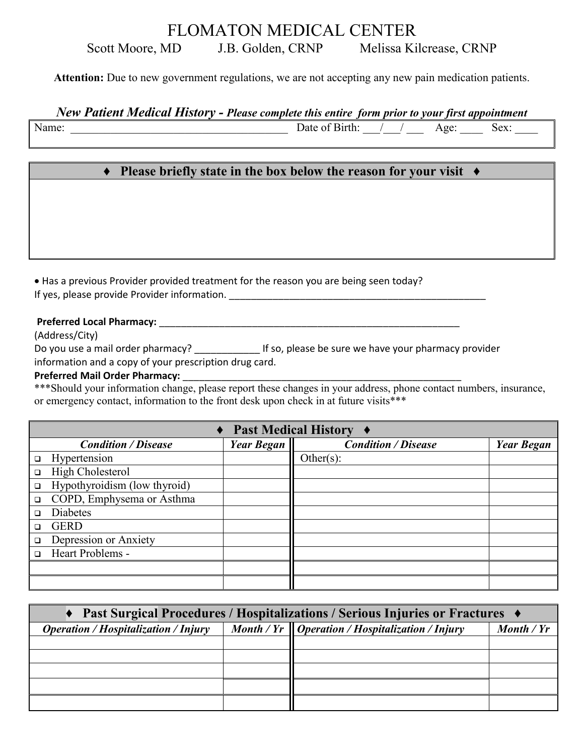## FLOMATON MEDICAL CENTER Scott Moore, MD J.B. Golden, CRNP Melissa Kilcrease, CRNP

**Attention:** Due to new government regulations, we are not accepting any new pain medication patients.

*New Patient Medical History - Please complete this entire form prior to your first appointment*

Name: Sex:

## **♦ Please briefly state in the box below the reason for your visit ♦**

• Has a previous Provider provided treatment for the reason you are being seen today? If yes, please provide Provider information.

#### **Preferred Local Pharmacy:** \_\_\_\_\_\_\_\_\_\_\_\_\_\_\_\_\_\_\_\_\_\_\_\_\_\_\_\_\_\_\_\_\_\_\_\_\_\_\_\_\_\_\_\_\_\_\_\_\_\_\_\_\_\_\_

(Address/City)

Do you use a mail order pharmacy? \_\_\_\_\_\_\_\_\_\_\_\_\_\_\_ If so, please be sure we have your pharmacy provider

information and a copy of your prescription drug card.

#### Preferred Mail Order Pharmacy:

\*\*\*Should your information change, please report these changes in your address, phone contact numbers, insurance, or emergency contact, information to the front desk upon check in at future visits\*\*\*

|        | $\triangle$ Past Medical History $\triangle$ |                   |                            |                   |  |  |  |
|--------|----------------------------------------------|-------------------|----------------------------|-------------------|--|--|--|
|        | <b>Condition / Disease</b>                   | <b>Year Began</b> | <b>Condition / Disease</b> | <b>Year Began</b> |  |  |  |
| $\Box$ | Hypertension                                 |                   | Other(s):                  |                   |  |  |  |
| $\Box$ | High Cholesterol                             |                   |                            |                   |  |  |  |
| $\Box$ | Hypothyroidism (low thyroid)                 |                   |                            |                   |  |  |  |
| $\Box$ | COPD, Emphysema or Asthma                    |                   |                            |                   |  |  |  |
| $\Box$ | Diabetes                                     |                   |                            |                   |  |  |  |
| $\Box$ | <b>GERD</b>                                  |                   |                            |                   |  |  |  |
| $\Box$ | Depression or Anxiety                        |                   |                            |                   |  |  |  |
|        | - Heart Problems                             |                   |                            |                   |  |  |  |
|        |                                              |                   |                            |                   |  |  |  |
|        |                                              |                   |                            |                   |  |  |  |

| ◆ Past Surgical Procedures / Hospitalizations / Serious Injuries or Fractures ◆ |  |                                                             |            |  |  |  |
|---------------------------------------------------------------------------------|--|-------------------------------------------------------------|------------|--|--|--|
| <b>Operation / Hospitalization / Injury</b>                                     |  | Month / $Yr \parallel$ Operation / Hospitalization / Injury | Month / Yr |  |  |  |
|                                                                                 |  |                                                             |            |  |  |  |
|                                                                                 |  |                                                             |            |  |  |  |
|                                                                                 |  |                                                             |            |  |  |  |
|                                                                                 |  |                                                             |            |  |  |  |
|                                                                                 |  |                                                             |            |  |  |  |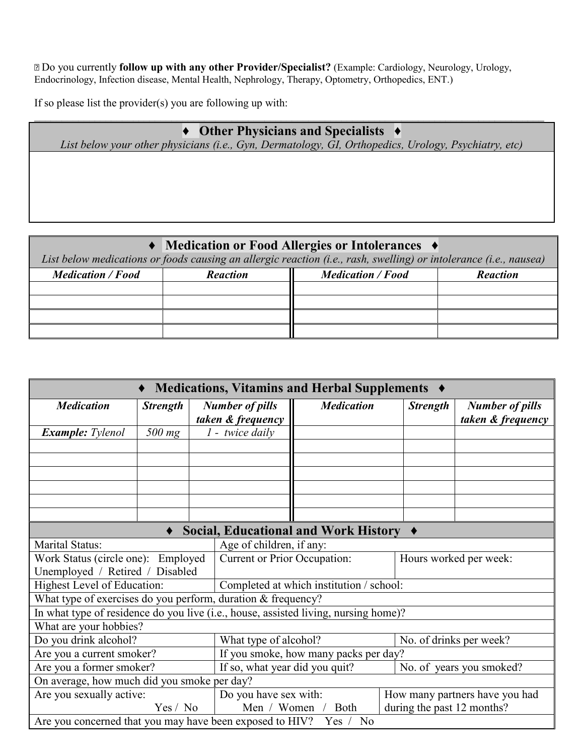Do you currently **follow up with any other Provider/Specialist?** (Example: Cardiology, Neurology, Urology, Endocrinology, Infection disease, Mental Health, Nephrology, Therapy, Optometry, Orthopedics, ENT.)

If so please list the provider(s) you are following up with:

## \_\_\_\_\_\_\_\_\_\_\_\_\_\_\_\_\_\_\_\_\_\_\_\_\_\_\_\_\_\_\_\_\_\_\_\_\_\_\_\_\_\_\_\_\_\_\_\_\_\_\_\_\_\_\_\_\_\_\_\_\_\_\_\_\_\_\_\_\_\_\_\_\_\_\_\_\_\_\_\_\_\_\_\_\_\_\_\_\_\_\_\_\_ **♦ Other Physicians and Specialists ♦**

*List below your other physicians (i.e., Gyn, Dermatology, GI, Orthopedics, Urology, Psychiatry, etc)*

## **♦ Medication or Food Allergies or Intolerances ♦**

*List below medications or foods causing an allergic reaction (i.e., rash, swelling) or intolerance (i.e., nausea)*

| <b>Medication / Food</b> | <b>Reaction</b> | <b>Medication / Food</b> | <b>Reaction</b> |
|--------------------------|-----------------|--------------------------|-----------------|
|                          |                 |                          |                 |
|                          |                 |                          |                 |
|                          |                 |                          |                 |
|                          |                 |                          |                 |

| Medications, Vitamins and Herbal Supplements ♦                                      |                 |                                             |                                                               |                                                  |                                |                 |                                             |
|-------------------------------------------------------------------------------------|-----------------|---------------------------------------------|---------------------------------------------------------------|--------------------------------------------------|--------------------------------|-----------------|---------------------------------------------|
| <b>Medication</b>                                                                   | <b>Strength</b> | <b>Number of pills</b><br>taken & frequency |                                                               | <b>Medication</b>                                |                                | <b>Strength</b> | <b>Number of pills</b><br>taken & frequency |
| <b>Example:</b> Tylenol                                                             | $500$ mg        |                                             | $1$ - twice daily                                             |                                                  |                                |                 |                                             |
|                                                                                     |                 |                                             |                                                               |                                                  |                                |                 |                                             |
|                                                                                     |                 |                                             |                                                               |                                                  |                                |                 |                                             |
|                                                                                     |                 |                                             |                                                               |                                                  |                                |                 |                                             |
|                                                                                     |                 |                                             |                                                               |                                                  |                                |                 |                                             |
|                                                                                     |                 |                                             |                                                               |                                                  |                                |                 |                                             |
|                                                                                     |                 |                                             |                                                               |                                                  |                                |                 |                                             |
| Social, Educational and Work History ♦                                              |                 |                                             |                                                               |                                                  |                                |                 |                                             |
| Marital Status:                                                                     |                 |                                             | Age of children, if any:                                      |                                                  |                                |                 |                                             |
| Work Status (circle one): Employed                                                  |                 |                                             | <b>Current or Prior Occupation:</b><br>Hours worked per week: |                                                  |                                |                 |                                             |
| Unemployed / Retired / Disabled                                                     |                 |                                             |                                                               |                                                  |                                |                 |                                             |
| <b>Highest Level of Education:</b>                                                  |                 |                                             |                                                               | Completed at which institution / school:         |                                |                 |                                             |
| What type of exercises do you perform, duration & frequency?                        |                 |                                             |                                                               |                                                  |                                |                 |                                             |
| In what type of residence do you live (i.e., house, assisted living, nursing home)? |                 |                                             |                                                               |                                                  |                                |                 |                                             |
| What are your hobbies?                                                              |                 |                                             |                                                               |                                                  |                                |                 |                                             |
| Do you drink alcohol?                                                               |                 |                                             | No. of drinks per week?<br>What type of alcohol?              |                                                  |                                |                 |                                             |
| Are you a current smoker?                                                           |                 |                                             |                                                               | If you smoke, how many packs per day?            |                                |                 |                                             |
| Are you a former smoker?                                                            |                 |                                             | If so, what year did you quit?<br>No. of years you smoked?    |                                                  |                                |                 |                                             |
| On average, how much did you smoke per day?                                         |                 |                                             |                                                               |                                                  |                                |                 |                                             |
| Are you sexually active:                                                            |                 |                                             | Do you have sex with:                                         |                                                  | How many partners have you had |                 |                                             |
| Yes / No                                                                            |                 |                                             |                                                               | during the past 12 months?<br>Men / Women / Both |                                |                 |                                             |
| Are you concerned that you may have been exposed to HIV?<br>N <sub>o</sub><br>Yes / |                 |                                             |                                                               |                                                  |                                |                 |                                             |